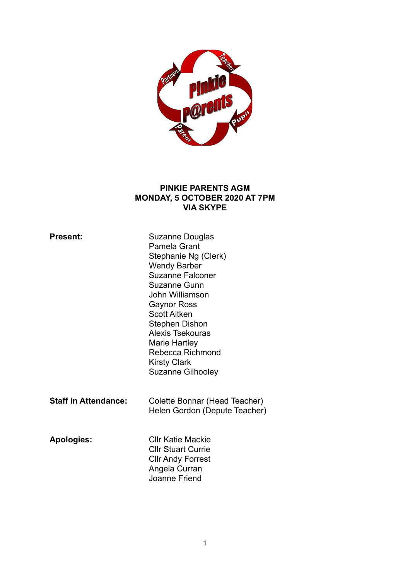

#### **PINKIE PARENTS AGM MONDAY, 5 OCTOBER 2020 AT 7PM VIA SKYPE**

| <b>Present:</b>             | Suzanne Douglas<br>Pamela Grant<br>Stephanie Ng (Clerk)<br><b>Wendy Barber</b><br><b>Suzanne Falconer</b><br>Suzanne Gunn<br>John Williamson<br><b>Gaynor Ross</b><br><b>Scott Aitken</b><br>Stephen Dishon<br>Alexis Tsekouras<br>Marie Hartley<br>Rebecca Richmond<br><b>Kirsty Clark</b><br><b>Suzanne Gilhooley</b> |
|-----------------------------|-------------------------------------------------------------------------------------------------------------------------------------------------------------------------------------------------------------------------------------------------------------------------------------------------------------------------|
| <b>Staff in Attendance:</b> | Colette Bonnar (Head Teacher)<br>Helen Gordon (Depute Teacher)                                                                                                                                                                                                                                                          |
| <b>Apologies:</b>           | <b>CIIr Katie Mackie</b><br><b>CIIr Stuart Currie</b><br><b>CIIr Andy Forrest</b><br>Angela Curran<br>Joanne Friend                                                                                                                                                                                                     |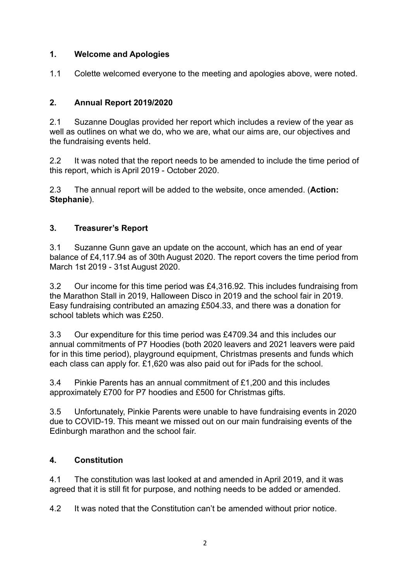## **1. Welcome and Apologies**

1.1 Colette welcomed everyone to the meeting and apologies above, were noted.

# **2. Annual Report 2019/2020**

2.1 Suzanne Douglas provided her report which includes a review of the year as well as outlines on what we do, who we are, what our aims are, our objectives and the fundraising events held.

2.2 It was noted that the report needs to be amended to include the time period of this report, which is April 2019 - October 2020.

2.3 The annual report will be added to the website, once amended. (**Action: Stephanie**).

# **3. Treasurer's Report**

3.1 Suzanne Gunn gave an update on the account, which has an end of year balance of £4,117.94 as of 30th August 2020. The report covers the time period from March 1st 2019 - 31st August 2020.

3.2 Our income for this time period was £4,316.92. This includes fundraising from the Marathon Stall in 2019, Halloween Disco in 2019 and the school fair in 2019. Easy fundraising contributed an amazing £504.33, and there was a donation for school tablets which was £250.

3.3 Our expenditure for this time period was £4709.34 and this includes our annual commitments of P7 Hoodies (both 2020 leavers and 2021 leavers were paid for in this time period), playground equipment, Christmas presents and funds which each class can apply for. £1,620 was also paid out for iPads for the school.

3.4 Pinkie Parents has an annual commitment of £1,200 and this includes approximately £700 for P7 hoodies and £500 for Christmas gifts.

3.5 Unfortunately, Pinkie Parents were unable to have fundraising events in 2020 due to COVID-19. This meant we missed out on our main fundraising events of the Edinburgh marathon and the school fair.

# **4. Constitution**

4.1 The constitution was last looked at and amended in April 2019, and it was agreed that it is still fit for purpose, and nothing needs to be added or amended.

4.2 It was noted that the Constitution can't be amended without prior notice.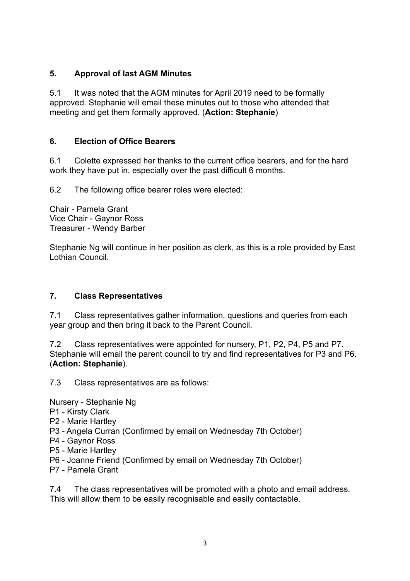## **5. Approval of last AGM Minutes**

5.1 It was noted that the AGM minutes for April 2019 need to be formally approved. Stephanie will email these minutes out to those who attended that meeting and get them formally approved. (**Action: Stephanie**)

## **6. Election of Office Bearers**

6.1 Colette expressed her thanks to the current office bearers, and for the hard work they have put in, especially over the past difficult 6 months.

6.2 The following office bearer roles were elected:

Chair - Pamela Grant Vice Chair - Gaynor Ross Treasurer - Wendy Barber

Stephanie Ng will continue in her position as clerk, as this is a role provided by East Lothian Council.

#### **7. Class Representatives**

7.1 Class representatives gather information, questions and queries from each year group and then bring it back to the Parent Council.

7.2 Class representatives were appointed for nursery, P1, P2, P4, P5 and P7. Stephanie will email the parent council to try and find representatives for P3 and P6. (**Action: Stephanie**).

7.3 Class representatives are as follows:

Nursery - Stephanie Ng

- P1 Kirsty Clark
- P2 Marie Hartley
- P3 Angela Curran (Confirmed by email on Wednesday 7th October)
- P4 Gaynor Ross
- P5 Marie Hartley
- P6 Joanne Friend (Confirmed by email on Wednesday 7th October)
- P7 Pamela Grant

7.4 The class representatives will be promoted with a photo and email address. This will allow them to be easily recognisable and easily contactable.